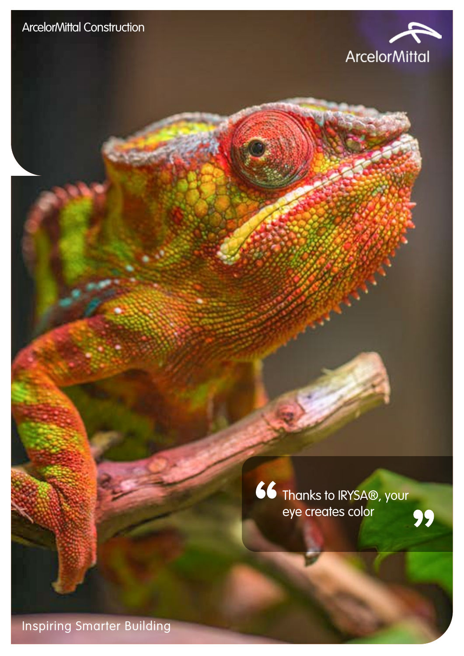

66 Thanks to IRYSA®, your eye creates color

Inspiring Smarter Building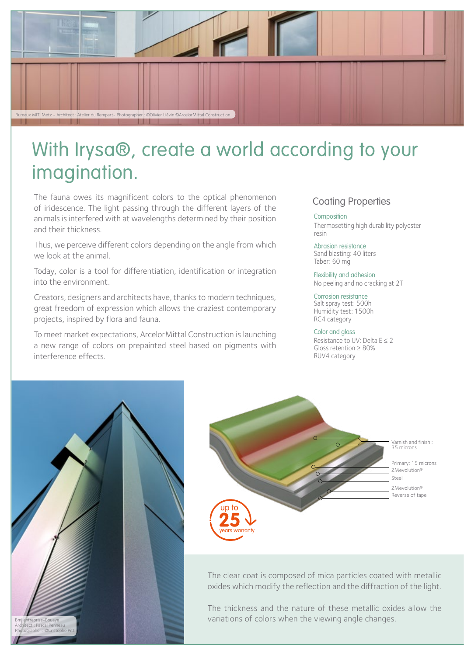

# With Irysa®, create a world according to your imagination.

The fauna owes its magnificent colors to the optical phenomenon of iridescence. The light passing through the different layers of the animals is interfered with at wavelengths determined by their position and their thickness.

Thus, we perceive different colors depending on the angle from which we look at the animal.

Today, color is a tool for differentiation, identification or integration into the environment.

Creators, designers and architects have, thanks to modern techniques, great freedom of expression which allows the craziest contemporary projects, inspired by flora and fauna.

To meet market expectations, ArcelorMittal Construction is launching a new range of colors on prepainted steel based on pigments with interference effects.

## Coating Properties

Composition Thermosetting high durability polyester resin

Abrasion resistance Sand blasting: 40 liters Taber: 60 mg

Flexibility and adhesion No peeling and no cracking at 2T

Corrosion resistance Salt spray test: 500h Humidity test: 1500h RC4 category

### Color and gloss

Resistance to UV: Delta  $E \leq 2$ Gloss retention ≥ 80% RUV4 category





The clear coat is composed of mica particles coated with metallic oxides which modify the reflection and the diffraction of the light.

The thickness and the nature of these metallic oxides allow the variations of colors when the viewing angle changes.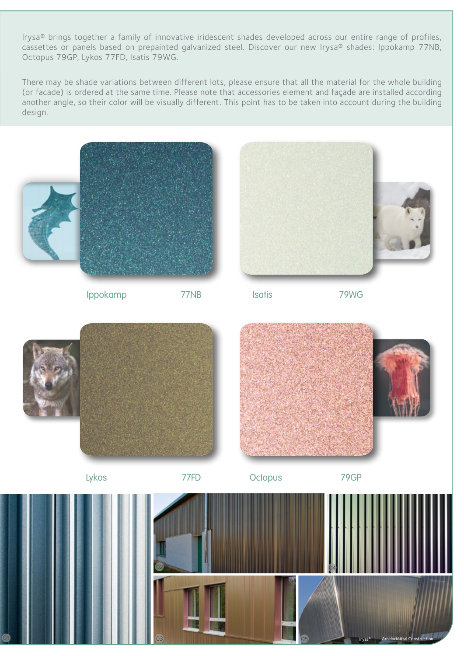Irysa® brings together a family of innovative iridescent shades developed across our entire range of profiles, cassettes or panels based on prepainted galvanized steel. Discover our new Irysa® shades: Ippokamp 77NB, Octopus 79GP, Lykos 77FD, Isatis 79WG.

There may be shade variations between different lots, please ensure that all the material for the whole building (or facade) is ordered at the same time. Please note that accessories element and façade are installed according another angle, so their color will be visually different. This point has to be taken into account during the building design.